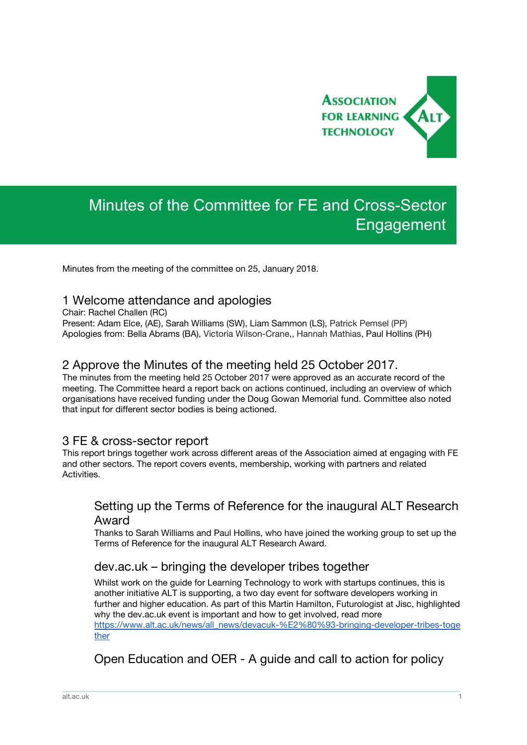

# Minutes of the Committee for FE and Cross-Sector Engagement

Minutes from the meeting of the committee on 25, January 2018.

## 1 Welcome attendance and apologies

Chair: Rachel Challen (RC)

Present: Adam Elce, (AE), Sarah Williams (SW), Liam Sammon (LS), Patrick Pemsel (PP) Apologies from: Bella Abrams (BA), Victoria Wilson-Crane,, Hannah Mathias, Paul Hollins (PH)

# 2 Approve the Minutes of the meeting held 25 October 2017.

The minutes from the meeting held 25 October 2017 were approved as an accurate record of the meeting. The Committee heard a report back on actions continued, including an overview of which organisations have received funding under the Doug Gowan Memorial fund. Committee also noted that input for different sector bodies is being actioned.

## 3 FE & cross-sector report

This report brings together work across different areas of the Association aimed at engaging with FE and other sectors. The report covers events, membership, working with partners and related Activities.

# Setting up the Terms of Reference for the inaugural ALT Research Award

Thanks to Sarah Williams and Paul Hollins, who have joined the working group to set up the Terms of Reference for the inaugural ALT Research Award.

## dev.ac.uk – bringing the developer tribes together

Whilst work on the guide for Learning Technology to work with startups continues, this is another initiative ALT is supporting, a two day event for software developers working in further and higher education. As part of this Martin Hamilton, Futurologist at Jisc, highlighted why the dev.ac.uk event is important and how to get involved, read more [https://www.alt.ac.uk/news/all\\_news/devacuk-%E2%80%93-bringing-developer-tribes-toge](https://www.alt.ac.uk/news/all_news/devacuk-%E2%80%93-bringing-developer-tribes-together) [ther](https://www.alt.ac.uk/news/all_news/devacuk-%E2%80%93-bringing-developer-tribes-together)

Open Education and OER - A guide and call to action for policy

\_\_\_\_\_\_\_\_\_\_\_\_\_\_\_\_\_\_\_\_\_\_\_\_\_\_\_\_\_\_\_\_\_\_\_\_\_\_\_\_\_\_\_\_\_\_\_\_\_\_\_\_\_\_\_\_\_\_\_\_\_\_\_\_\_\_\_\_\_\_\_\_\_\_\_\_\_\_\_\_\_\_\_\_\_\_\_\_\_\_\_\_\_\_\_\_\_\_\_\_\_\_\_\_\_\_\_\_\_\_\_\_\_\_\_\_\_\_\_\_\_\_\_\_\_\_\_\_\_\_\_\_\_\_\_\_\_\_\_\_\_\_\_\_\_\_\_\_\_\_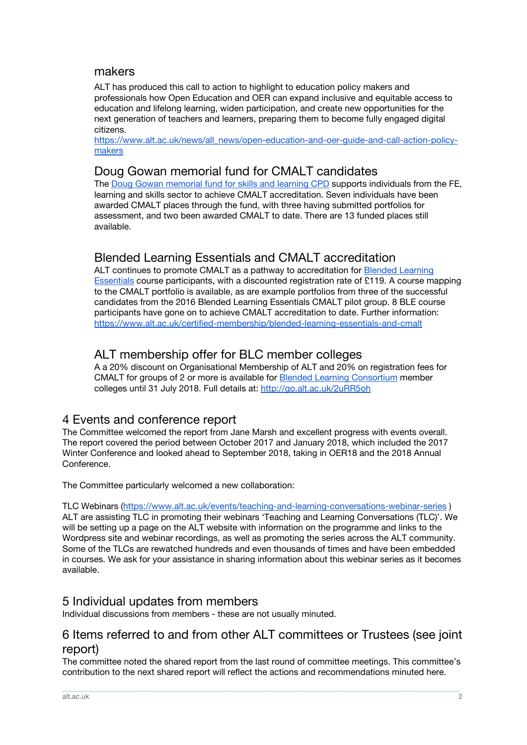## makers

ALT has produced this call to action to highlight to education policy makers and professionals how Open Education and OER can expand inclusive and equitable access to education and lifelong learning, widen participation, and create new opportunities for the next generation of teachers and learners, preparing them to become fully engaged digital citizens.

[https://www.alt.ac.uk/news/all\\_news/open-education-and-oer-guide-and-call-action-policy](https://www.alt.ac.uk/news/all_news/open-education-and-oer-guide-and-call-action-policy-makers)[makers](https://www.alt.ac.uk/news/all_news/open-education-and-oer-guide-and-call-action-policy-makers)

#### Doug Gowan memorial fund for CMALT candidates

The Doug Gowan [memorial](https://www.alt.ac.uk/news/all_news/doug-gowan-memorial-fund-learning-and-skills-cpd-learning-technology-launched) fund for skills and learning CPD supports individuals from the FE, learning and skills sector to achieve CMALT accreditation. Seven individuals have been awarded CMALT places through the fund, with three having submitted portfolios for assessment, and two been awarded CMALT to date. There are 13 funded places still available.

# Blended Learning Essentials and CMALT accreditation

ALT continues to promote CMALT as a pathway to accreditation for **Blended [Learning](https://www.alt.ac.uk/certified-membership/blended-learning-essentials-and-cmalt)** [Essentials](https://www.alt.ac.uk/certified-membership/blended-learning-essentials-and-cmalt) course participants, with a discounted registration rate of £119. A course mapping to the CMALT portfolio is available, as are example portfolios from three of the successful candidates from the 2016 Blended Learning Essentials CMALT pilot group. 8 BLE course participants have gone on to achieve CMALT accreditation to date. Further information: <https://www.alt.ac.uk/certified-membership/blended-learning-essentials-and-cmalt>

# ALT membership offer for BLC member colleges

A a 20% discount on Organisational Membership of ALT and 20% on registration fees for CMALT for groups of 2 or more is available for Blended Learning [Consortium](http://blc-fe.org/members.html) member colleges until 31 July 2018. Full details at: <http://go.alt.ac.uk/2uRR5oh>

## 4 Events and conference report

The Committee welcomed the report from Jane Marsh and excellent progress with events overall. The report covered the period between October 2017 and January 2018, which included the 2017 Winter Conference and looked ahead to September 2018, taking in OER18 and the 2018 Annual Conference.

The Committee particularly welcomed a new collaboration:

TLC Webinars (<https://www.alt.ac.uk/events/teaching-and-learning-conversations-webinar-series> ) ALT are assisting TLC in promoting their webinars 'Teaching and Learning Conversations (TLC)'. We will be setting up a page on the ALT website with information on the programme and links to the Wordpress site and webinar recordings, as well as promoting the series across the ALT community. Some of the TLCs are rewatched hundreds and even thousands of times and have been embedded in courses. We ask for your assistance in sharing information about this webinar series as it becomes available.

# 5 Individual updates from members

Individual discussions from members - these are not usually minuted.

# 6 Items referred to and from other ALT committees or Trustees (see joint report)

The committee noted the shared report from the last round of committee meetings. This committee's contribution to the next shared report will reflect the actions and recommendations minuted here.

\_\_\_\_\_\_\_\_\_\_\_\_\_\_\_\_\_\_\_\_\_\_\_\_\_\_\_\_\_\_\_\_\_\_\_\_\_\_\_\_\_\_\_\_\_\_\_\_\_\_\_\_\_\_\_\_\_\_\_\_\_\_\_\_\_\_\_\_\_\_\_\_\_\_\_\_\_\_\_\_\_\_\_\_\_\_\_\_\_\_\_\_\_\_\_\_\_\_\_\_\_\_\_\_\_\_\_\_\_\_\_\_\_\_\_\_\_\_\_\_\_\_\_\_\_\_\_\_\_\_\_\_\_\_\_\_\_\_\_\_\_\_\_\_\_\_\_\_\_\_